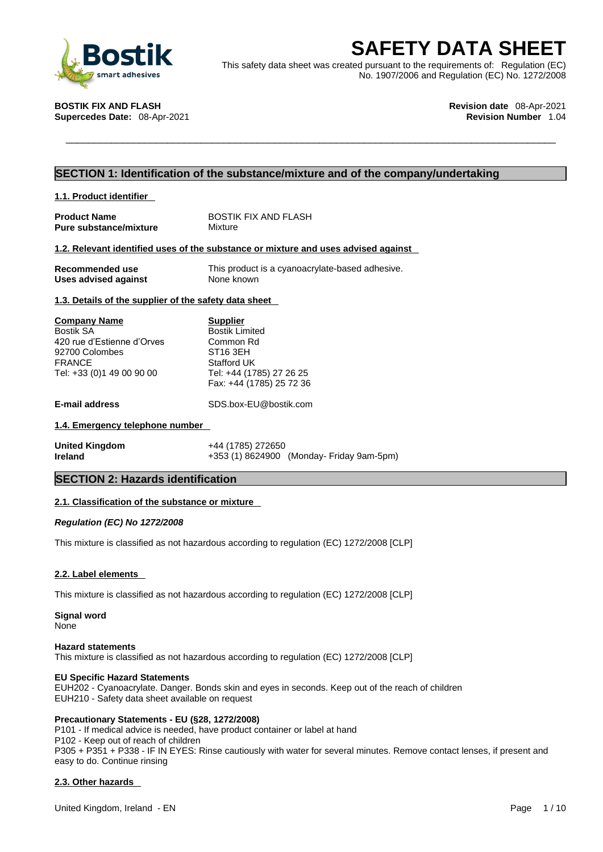

**SAFETY DATA SHEET**<br>
This safety data sheet was created pursuant to the requirements of: Regulation (EC)<br>
No. 1907/2006 and Regulation (EC) No. 1272/2008<br> **STIK FIX AND FLASH**<br> **Percedes Date:** 08-Apr-2021<br> **Revision Numbe** This safety data sheet was created pursuant to the requirements of: Regulation (EC) No. 1907/2006 and Regulation (EC) No. 1272/2008

**Supercedes Date: 08-Apr-2021** 

**BOSTIK FIX AND FLASH Revision date** 08-Apr-2021

# **SECTION 1: Identification of the substance/mixture and of the company/undertaking**

| 1.1. Product identifier                                                                                                        |                                                                                                                                                      |
|--------------------------------------------------------------------------------------------------------------------------------|------------------------------------------------------------------------------------------------------------------------------------------------------|
| <b>Product Name</b><br>Pure substance/mixture                                                                                  | BOSTIK FIX AND FLASH<br>Mixture                                                                                                                      |
|                                                                                                                                | 1.2. Relevant identified uses of the substance or mixture and uses advised against                                                                   |
| Recommended use<br><b>Uses advised against</b>                                                                                 | This product is a cyanoacrylate-based adhesive.<br>None known                                                                                        |
| 1.3. Details of the supplier of the safety data sheet                                                                          |                                                                                                                                                      |
| <b>Company Name</b><br>Bostik SA<br>420 rue d'Estienne d'Orves<br>92700 Colombes<br><b>FRANCE</b><br>Tel: +33 (0)1 49 00 90 00 | <b>Supplier</b><br><b>Bostik Limited</b><br>Common Rd<br>ST <sub>16</sub> 3EH<br>Stafford UK<br>Tel: +44 (1785) 27 26 25<br>Fax: +44 (1785) 25 72 36 |
| <b>E-mail address</b>                                                                                                          | SDS.box-EU@bostik.com                                                                                                                                |
| 1.4. Emergency telephone number                                                                                                |                                                                                                                                                      |
| <b>United Kingdom</b><br>Ireland                                                                                               | +44 (1785) 272650<br>+353 (1) 8624900 (Monday- Friday 9am-5pm)                                                                                       |
| <b>SECTION 2: Hazards identification</b>                                                                                       |                                                                                                                                                      |

### **2.1. Classification of the substance or mixture**

*Regulation (EC) No 1272/2008* 

This mixture is classified as not hazardous according to regulation (EC) 1272/2008 [CLP]

### **2.2. Label elements**

This mixture is classified as not hazardous according to regulation (EC) 1272/2008 [CLP]

**Signal word** None

#### **Hazard statements**

This mixture is classified as not hazardous according to regulation (EC) 1272/2008 [CLP]

#### **EU Specific Hazard Statements**

EUH202 - Cyanoacrylate. Danger. Bonds skin and eyes in seconds. Keep out of the reach of children EUH210 - Safety data sheet available on request

### **Precautionary Statements - EU (§28, 1272/2008)**

P101 - If medical advice is needed, have product container or label at hand P102 - Keep out of reach of children P305 + P351 + P338 - IF IN EYES: Rinse cautiously with water for several minutes. Remove contact lenses, if present and easy to do. Continue rinsing

### **2.3. Other hazards**

United Kingdom, Ireland - EN Page 1/10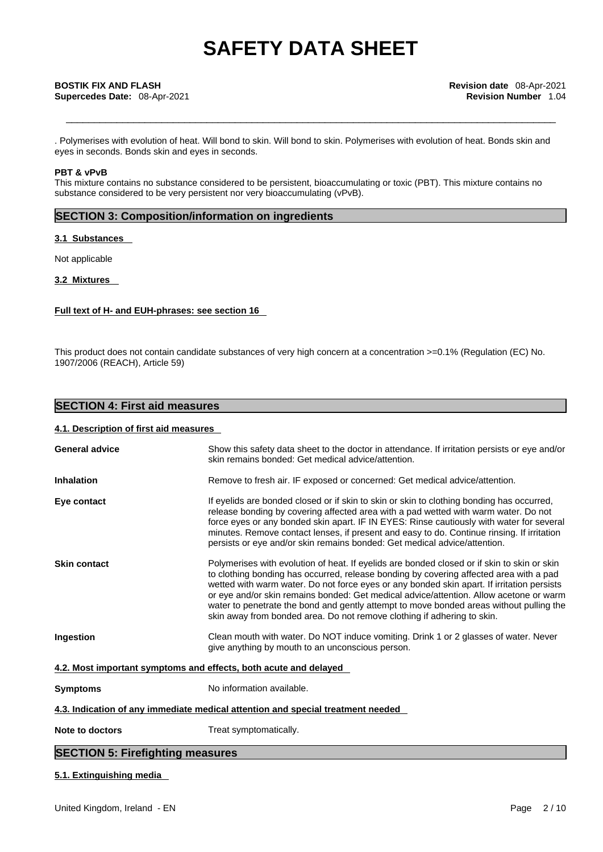. Polymerises with evolution of heat. Will bond to skin. Will bond to skin. Polymerises with evolution ofheat. Bonds skin and eyes in seconds. Bonds skin and eyes in seconds.

## **PBT & vPvB**

This mixture contains no substance considered to be persistent, bioaccumulating or toxic (PBT). This mixture contains no substance considered to be very persistent nor very bioaccumulating (vPvB).

# **SECTION 3: Composition/information on ingredients**

# **3.1 Substances**

Not applicable

# **3.2 Mixtures**

# **Full text of H- and EUH-phrases: see section 16**

This product does not contain candidate substances of very high concern at a concentration >=0.1% (Regulation (EC) No. 1907/2006 (REACH), Article 59)

# **SECTION 4: First aid measures**

## **4.1. Description of first aid measures**

| <b>General advice</b>                                                           | Show this safety data sheet to the doctor in attendance. If irritation persists or eye and/or<br>skin remains bonded: Get medical advice/attention.                                                                                                                                                                                                                                                                                                                                                                                                 |  |
|---------------------------------------------------------------------------------|-----------------------------------------------------------------------------------------------------------------------------------------------------------------------------------------------------------------------------------------------------------------------------------------------------------------------------------------------------------------------------------------------------------------------------------------------------------------------------------------------------------------------------------------------------|--|
| <b>Inhalation</b>                                                               | Remove to fresh air. IF exposed or concerned: Get medical advice/attention.                                                                                                                                                                                                                                                                                                                                                                                                                                                                         |  |
| Eye contact                                                                     | If eyelids are bonded closed or if skin to skin or skin to clothing bonding has occurred,<br>release bonding by covering affected area with a pad wetted with warm water. Do not<br>force eyes or any bonded skin apart. IF IN EYES: Rinse cautiously with water for several<br>minutes. Remove contact lenses, if present and easy to do. Continue rinsing. If irritation<br>persists or eye and/or skin remains bonded: Get medical advice/attention.                                                                                             |  |
| <b>Skin contact</b>                                                             | Polymerises with evolution of heat. If eyelids are bonded closed or if skin to skin or skin<br>to clothing bonding has occurred, release bonding by covering affected area with a pad<br>wetted with warm water. Do not force eyes or any bonded skin apart. If irritation persists<br>or eye and/or skin remains bonded: Get medical advice/attention. Allow acetone or warm<br>water to penetrate the bond and gently attempt to move bonded areas without pulling the<br>skin away from bonded area. Do not remove clothing if adhering to skin. |  |
| Ingestion                                                                       | Clean mouth with water. Do NOT induce vomiting. Drink 1 or 2 glasses of water. Never<br>give anything by mouth to an unconscious person.                                                                                                                                                                                                                                                                                                                                                                                                            |  |
| 4.2. Most important symptoms and effects, both acute and delayed                |                                                                                                                                                                                                                                                                                                                                                                                                                                                                                                                                                     |  |
| <b>Symptoms</b>                                                                 | No information available.                                                                                                                                                                                                                                                                                                                                                                                                                                                                                                                           |  |
| 4.3. Indication of any immediate medical attention and special treatment needed |                                                                                                                                                                                                                                                                                                                                                                                                                                                                                                                                                     |  |
| Note to doctors                                                                 | Treat symptomatically.                                                                                                                                                                                                                                                                                                                                                                                                                                                                                                                              |  |

# **SECTION 5: Firefighting measures**

# **5.1. Extinguishing media**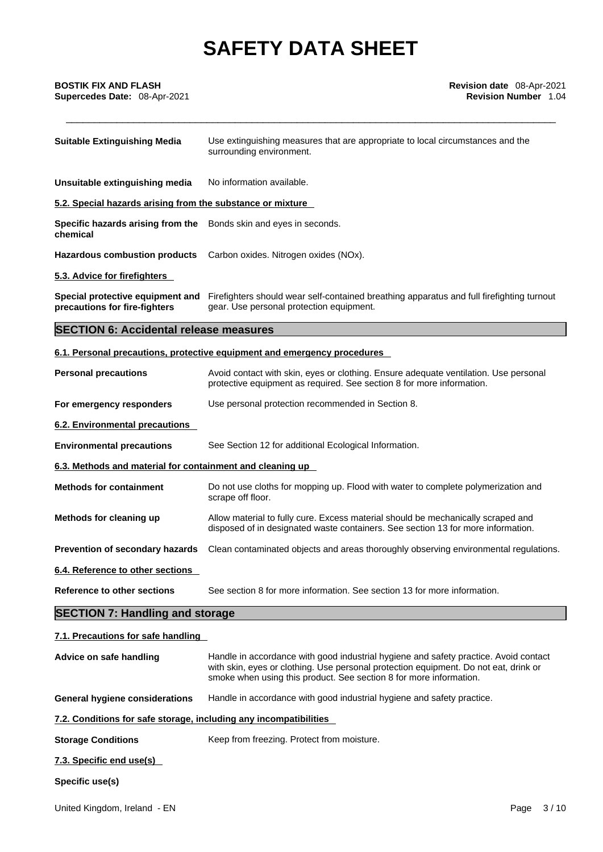**Supercedes Date: 08-Apr-2021** 

| <b>Suitable Extinguishing Media</b>                                           | Use extinguishing measures that are appropriate to local circumstances and the<br>surrounding environment.                                                                                                                                         |
|-------------------------------------------------------------------------------|----------------------------------------------------------------------------------------------------------------------------------------------------------------------------------------------------------------------------------------------------|
| Unsuitable extinguishing media                                                | No information available.                                                                                                                                                                                                                          |
| 5.2. Special hazards arising from the substance or mixture                    |                                                                                                                                                                                                                                                    |
| Specific hazards arising from the Bonds skin and eyes in seconds.<br>chemical |                                                                                                                                                                                                                                                    |
| <b>Hazardous combustion products</b>                                          | Carbon oxides. Nitrogen oxides (NOx).                                                                                                                                                                                                              |
| 5.3. Advice for firefighters                                                  |                                                                                                                                                                                                                                                    |
| Special protective equipment and<br>precautions for fire-fighters             | Firefighters should wear self-contained breathing apparatus and full firefighting turnout<br>gear. Use personal protection equipment.                                                                                                              |
| <b>SECTION 6: Accidental release measures</b>                                 |                                                                                                                                                                                                                                                    |
|                                                                               | 6.1. Personal precautions, protective equipment and emergency procedures                                                                                                                                                                           |
| <b>Personal precautions</b>                                                   | Avoid contact with skin, eyes or clothing. Ensure adequate ventilation. Use personal<br>protective equipment as required. See section 8 for more information.                                                                                      |
| For emergency responders                                                      | Use personal protection recommended in Section 8.                                                                                                                                                                                                  |
| 6.2. Environmental precautions                                                |                                                                                                                                                                                                                                                    |
| <b>Environmental precautions</b>                                              | See Section 12 for additional Ecological Information.                                                                                                                                                                                              |
| 6.3. Methods and material for containment and cleaning up                     |                                                                                                                                                                                                                                                    |
| <b>Methods for containment</b>                                                | Do not use cloths for mopping up. Flood with water to complete polymerization and<br>scrape off floor.                                                                                                                                             |
| Methods for cleaning up                                                       | Allow material to fully cure. Excess material should be mechanically scraped and<br>disposed of in designated waste containers. See section 13 for more information.                                                                               |
| Prevention of secondary hazards                                               | Clean contaminated objects and areas thoroughly observing environmental regulations.                                                                                                                                                               |
| 6.4. Reference to other sections                                              |                                                                                                                                                                                                                                                    |
| <b>Reference to other sections</b>                                            | See section 8 for more information. See section 13 for more information.                                                                                                                                                                           |
| <b>SECTION 7: Handling and storage</b>                                        |                                                                                                                                                                                                                                                    |
| 7.1. Precautions for safe handling                                            |                                                                                                                                                                                                                                                    |
| Advice on safe handling                                                       | Handle in accordance with good industrial hygiene and safety practice. Avoid contact<br>with skin, eyes or clothing. Use personal protection equipment. Do not eat, drink or<br>smoke when using this product. See section 8 for more information. |
| <b>General hygiene considerations</b>                                         | Handle in accordance with good industrial hygiene and safety practice.                                                                                                                                                                             |
| 7.2. Conditions for safe storage, including any incompatibilities             |                                                                                                                                                                                                                                                    |
| <b>Storage Conditions</b>                                                     | Keep from freezing. Protect from moisture.                                                                                                                                                                                                         |
| 7.3. Specific end use(s)                                                      |                                                                                                                                                                                                                                                    |
| Specific use(s)                                                               |                                                                                                                                                                                                                                                    |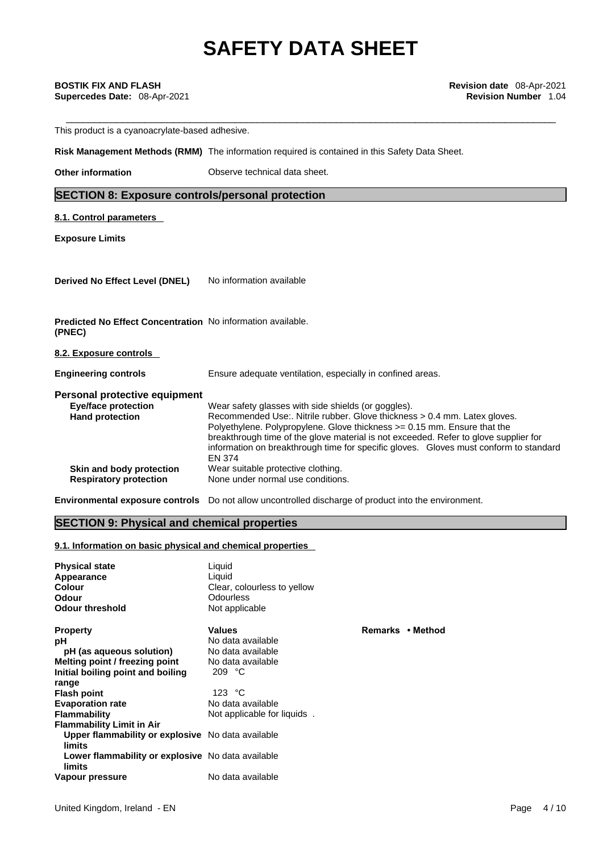This product is a cyanoacrylate-based adhesive.

**Risk Management Methods (RMM)** The information required is contained in this Safety Data Sheet.

**Other information** Observe technical data sheet.

# **SECTION 8: Exposure controls/personal protection**

**8.1. Control parameters** 

**Exposure Limits**

**Derived No Effect Level (DNEL)** No information available

**Predicted No Effect Concentration** No information available. **(PNEC)** 

# **8.2. Exposure controls**

**Engineering controls** Ensure adequate ventilation, especially in confined areas.

# **Personal protective equipment**

| <b>Eye/face protection</b>    | Wear safety glasses with side shields (or goggles).                                   |
|-------------------------------|---------------------------------------------------------------------------------------|
| <b>Hand protection</b>        | Recommended Use:. Nitrile rubber. Glove thickness > 0.4 mm. Latex gloves.             |
|                               | Polyethylene. Polypropylene. Glove thickness $>= 0.15$ mm. Ensure that the            |
|                               | breakthrough time of the glove material is not exceeded. Refer to glove supplier for  |
|                               | information on breakthrough time for specific gloves. Gloves must conform to standard |
|                               | <b>EN 374</b>                                                                         |
| Skin and body protection      | Wear suitable protective clothing.                                                    |
| <b>Respiratory protection</b> | None under normal use conditions.                                                     |
|                               |                                                                                       |

**Remarks • Method** 

**Environmental exposure controls** Do not allow uncontrolled discharge of product into the environment.

# **SECTION 9: Physical and chemical properties**

### **9.1. Information on basic physical and chemical properties**

| <b>Physical state</b><br>Appearance<br><b>Colour</b><br>Odour<br><b>Odour threshold</b> | Liquid<br>Liguid<br>Clear, colourless to yellow<br>Odourless<br>Not applicable |    |
|-----------------------------------------------------------------------------------------|--------------------------------------------------------------------------------|----|
| <b>Property</b>                                                                         | Values                                                                         | R١ |
| рH                                                                                      | No data available                                                              |    |
| pH (as aqueous solution)                                                                | No data available                                                              |    |
| Melting point / freezing point                                                          | No data available                                                              |    |
| Initial boiling point and boiling                                                       | 209 $°C$                                                                       |    |
| range                                                                                   |                                                                                |    |
| <b>Flash point</b>                                                                      | 123 $\degree$ C                                                                |    |
| <b>Evaporation rate</b>                                                                 | No data available                                                              |    |
| <b>Flammability</b>                                                                     | Not applicable for liquids.                                                    |    |
| <b>Flammability Limit in Air</b>                                                        |                                                                                |    |
| Upper flammability or explosive No data available                                       |                                                                                |    |
| limits                                                                                  |                                                                                |    |
| Lower flammability or explosive No data available<br>limits                             |                                                                                |    |
| Vapour pressure                                                                         | No data available                                                              |    |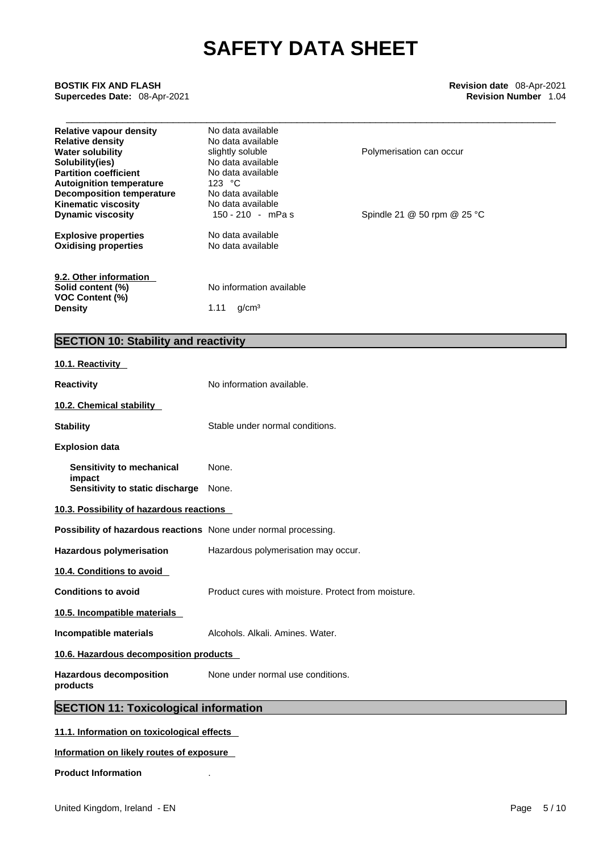# \_\_\_\_\_\_\_\_\_\_\_\_\_\_\_\_\_\_\_\_\_\_\_\_\_\_\_\_\_\_\_\_\_\_\_\_\_\_\_\_\_\_\_\_\_\_\_\_\_\_\_\_\_\_\_\_\_\_\_\_\_\_\_\_\_\_\_\_\_\_\_\_\_\_\_\_\_\_\_\_\_\_\_\_\_\_\_ **BOSTIK FIX AND FLASH Revision date** 08-Apr-2021 **Supercedes Date:** 08-Apr-2021 **Revision Number** 1.04

| <b>Relative vapour density</b><br><b>Relative density</b> | No data available<br>No data available |                             |  |
|-----------------------------------------------------------|----------------------------------------|-----------------------------|--|
| <b>Water solubility</b>                                   | slightly soluble                       | Polymerisation can occur    |  |
| Solubility(ies)                                           | No data available                      |                             |  |
| <b>Partition coefficient</b>                              | No data available                      |                             |  |
| <b>Autoignition temperature</b>                           | 123 $\degree$ C                        |                             |  |
| Decomposition temperature                                 | No data available                      |                             |  |
| <b>Kinematic viscosity</b>                                | No data available                      |                             |  |
| <b>Dynamic viscosity</b>                                  | 150 - 210 - mPas                       | Spindle 21 @ 50 rpm @ 25 °C |  |
| <b>Explosive properties</b>                               | No data available                      |                             |  |
| <b>Oxidising properties</b>                               | No data available                      |                             |  |
| 9.2. Other information                                    |                                        |                             |  |
| Solid content (%)                                         | No information available               |                             |  |
| <b>VOC Content (%)</b>                                    |                                        |                             |  |

# **SECTION 10: Stability and reactivity**

**Density** 1.11 g/cm<sup>3</sup>

| 10.1. Reactivity                                                 |                                                     |  |
|------------------------------------------------------------------|-----------------------------------------------------|--|
| <b>Reactivity</b>                                                | No information available.                           |  |
| 10.2. Chemical stability                                         |                                                     |  |
| <b>Stability</b>                                                 | Stable under normal conditions.                     |  |
| <b>Explosion data</b>                                            |                                                     |  |
| Sensitivity to mechanical<br>impact                              | None.                                               |  |
| Sensitivity to static discharge                                  | None.                                               |  |
| 10.3. Possibility of hazardous reactions                         |                                                     |  |
| Possibility of hazardous reactions None under normal processing. |                                                     |  |
| <b>Hazardous polymerisation</b>                                  | Hazardous polymerisation may occur.                 |  |
| 10.4. Conditions to avoid                                        |                                                     |  |
| <b>Conditions to avoid</b>                                       | Product cures with moisture. Protect from moisture. |  |
| 10.5. Incompatible materials                                     |                                                     |  |
| Incompatible materials                                           | Alcohols, Alkali, Amines, Water,                    |  |
| 10.6. Hazardous decomposition products                           |                                                     |  |
| <b>Hazardous decomposition</b><br>products                       | None under normal use conditions.                   |  |
| <b>SECTION 11: Toxicological information</b>                     |                                                     |  |
| did identification and acceptance of a standard and final        |                                                     |  |

# **11.1. Information on toxicological effects**

# **Information on likely routes of exposure**

# **Product Information** .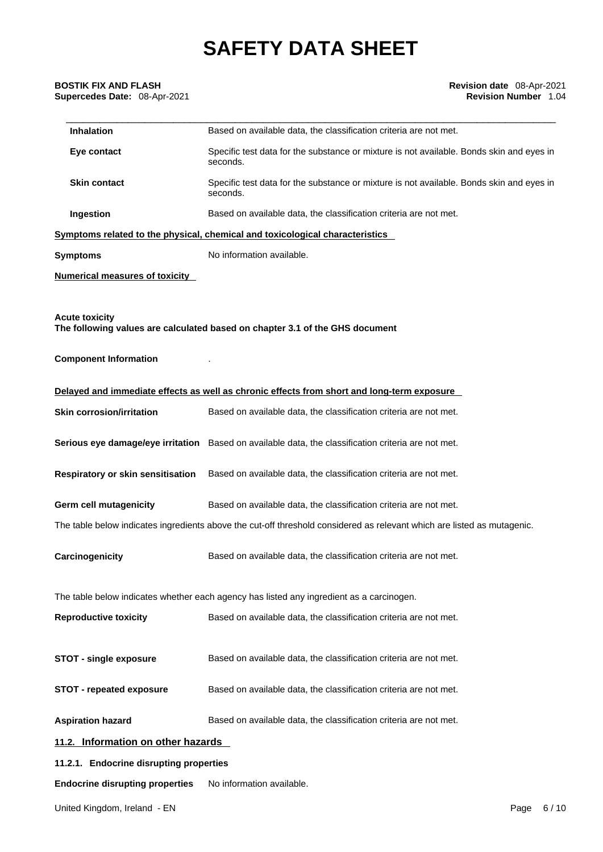# \_\_\_\_\_\_\_\_\_\_\_\_\_\_\_\_\_\_\_\_\_\_\_\_\_\_\_\_\_\_\_\_\_\_\_\_\_\_\_\_\_\_\_\_\_\_\_\_\_\_\_\_\_\_\_\_\_\_\_\_\_\_\_\_\_\_\_\_\_\_\_\_\_\_\_\_\_\_\_\_\_\_\_\_\_\_\_ **BOSTIK FIX AND FLASH Revision date** 08-Apr-2021 **Supercedes Date: 08-Apr-2021**

| Inhalation                              | Based on available data, the classification criteria are not met.                                                       |
|-----------------------------------------|-------------------------------------------------------------------------------------------------------------------------|
| Eye contact                             | Specific test data for the substance or mixture is not available. Bonds skin and eyes in<br>seconds.                    |
| <b>Skin contact</b>                     | Specific test data for the substance or mixture is not available. Bonds skin and eyes in<br>seconds.                    |
| Ingestion                               | Based on available data, the classification criteria are not met.                                                       |
|                                         | Symptoms related to the physical, chemical and toxicological characteristics                                            |
| <b>Symptoms</b>                         | No information available.                                                                                               |
| <b>Numerical measures of toxicity</b>   |                                                                                                                         |
| <b>Acute toxicity</b>                   | The following values are calculated based on chapter 3.1 of the GHS document                                            |
| <b>Component Information</b>            |                                                                                                                         |
|                                         | Delayed and immediate effects as well as chronic effects from short and long-term exposure                              |
| <b>Skin corrosion/irritation</b>        | Based on available data, the classification criteria are not met.                                                       |
|                                         | Serious eye damage/eye irritation Based on available data, the classification criteria are not met.                     |
| Respiratory or skin sensitisation       | Based on available data, the classification criteria are not met.                                                       |
| <b>Germ cell mutagenicity</b>           | Based on available data, the classification criteria are not met.                                                       |
|                                         | The table below indicates ingredients above the cut-off threshold considered as relevant which are listed as mutagenic. |
| Carcinogenicity                         | Based on available data, the classification criteria are not met.                                                       |
|                                         | The table below indicates whether each agency has listed any ingredient as a carcinogen.                                |
| <b>Reproductive toxicity</b>            | Based on available data, the classification criteria are not met.                                                       |
| <b>STOT - single exposure</b>           | Based on available data, the classification criteria are not met.                                                       |
| <b>STOT - repeated exposure</b>         | Based on available data, the classification criteria are not met.                                                       |
| <b>Aspiration hazard</b>                | Based on available data, the classification criteria are not met.                                                       |
| 11.2. Information on other hazards      |                                                                                                                         |
| 11.2.1. Endocrine disrupting properties |                                                                                                                         |
| <b>Endocrine disrupting properties</b>  | No information available.                                                                                               |
|                                         |                                                                                                                         |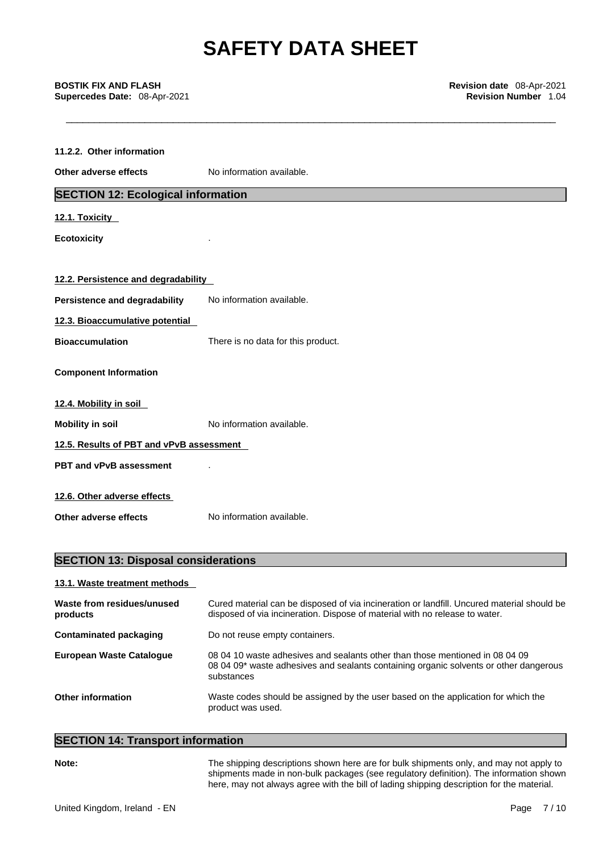\_\_\_\_\_\_\_\_\_\_\_\_\_\_\_\_\_\_\_\_\_\_\_\_\_\_\_\_\_\_\_\_\_\_\_\_\_\_\_\_\_\_\_\_\_\_\_\_\_\_\_\_\_\_\_\_\_\_\_\_\_\_\_\_\_\_\_\_\_\_\_\_\_\_\_\_\_\_\_\_\_\_\_\_\_\_\_ **BOSTIK FIX AND FLASH Revision date** 08-Apr-2021 **Supercedes Date:** 08-Apr-2021 **Revision Number** 1.04

| 11.2.2. Other information                 |                                    |
|-------------------------------------------|------------------------------------|
| Other adverse effects                     | No information available.          |
| <b>SECTION 12: Ecological information</b> |                                    |
| 12.1. Toxicity                            |                                    |
| <b>Ecotoxicity</b>                        |                                    |
| 12.2. Persistence and degradability       |                                    |
| <b>Persistence and degradability</b>      | No information available.          |
| 12.3. Bioaccumulative potential           |                                    |
| <b>Bioaccumulation</b>                    | There is no data for this product. |
| <b>Component Information</b>              |                                    |
| 12.4. Mobility in soil                    |                                    |
| <b>Mobility in soil</b>                   | No information available.          |
| 12.5. Results of PBT and vPvB assessment  |                                    |
| PBT and vPvB assessment                   |                                    |
| 12.6. Other adverse effects               |                                    |
| Other adverse effects                     | No information available.          |

# **SECTION 13: Disposal considerations**

| 13.1. Waste treatment methods          |                                                                                                                                                                                     |
|----------------------------------------|-------------------------------------------------------------------------------------------------------------------------------------------------------------------------------------|
| Waste from residues/unused<br>products | Cured material can be disposed of via incineration or landfill. Uncured material should be<br>disposed of via incineration. Dispose of material with no release to water.           |
| Contaminated packaging                 | Do not reuse empty containers.                                                                                                                                                      |
| <b>European Waste Cataloque</b>        | 08,04,10 waste adhesives and sealants other than those mentioned in 08,04,09<br>08 04 09* waste adhesives and sealants containing organic solvents or other dangerous<br>substances |
| Other information                      | Waste codes should be assigned by the user based on the application for which the<br>product was used.                                                                              |

# **SECTION 14: Transport information**

**Note:** The shipping descriptions shown here are for bulk shipments only, and may not apply to shipments made in non-bulk packages (see regulatory definition). The information shown here, may not always agree with the bill of lading shipping description for the material.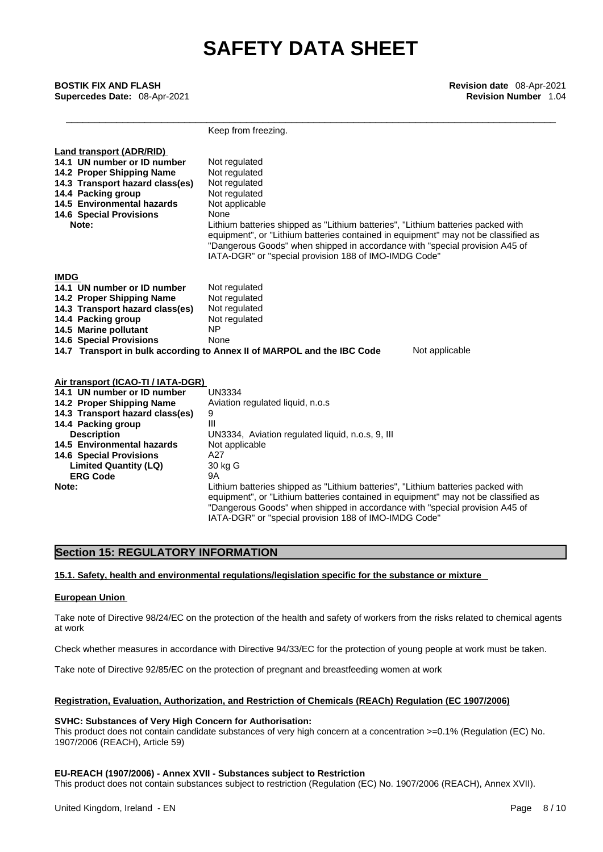\_\_\_\_\_\_\_\_\_\_\_\_\_\_\_\_\_\_\_\_\_\_\_\_\_\_\_\_\_\_\_\_\_\_\_\_\_\_\_\_\_\_\_\_\_\_\_\_\_\_\_\_\_\_\_\_\_\_\_\_\_\_\_\_\_\_\_\_\_\_\_\_\_\_\_\_\_\_\_\_\_\_\_\_\_\_\_ **BOSTIK FIX AND FLASH Revision date** 08-Apr-2021 **Supercedes Date:** 08-Apr-2021 **Revision Number** 1.04

Keep from freezing. **Land transport (ADR/RID) 14.1 UN number or ID number** Not regulated **14.2 Proper Shipping Name** Not regulated **14.3 Transport hazard class(es)** Not regulated **14.3 Transport hazard class(es) 14.4 Packing group Mot regulated** 14.5 Environmental hazards Not applicable **14.6 Special Provisions** None **Note:** Lithium batteries shipped as "Lithium batteries", "Lithium batteries packed with equipment", or "Lithium batteries contained in equipment" may not be classified as "Dangerous Goods" when shipped in accordance with "special provision A45 of IATA-DGR" or "special provision 188 of IMO-IMDG Code" **IMDG 14.1 UN number or ID number** Not regulated **14.2 Proper Shipping Name** Not regulated **14.3 Transport hazard class(es)** Not regulated **14.4 Packing group** Not regulated **14.5 Marine pollutant 14.6 Special Provisions** None **14.7 Transport in bulk according to Annex II of MARPOL and the IBC Code** Not applicable **Air transport (ICAO-TI / IATA-DGR) 14.1 UN number or ID number 14.2 Proper Shipping Name** Aviation regulated liquid, n.o.s **14.3 Transport hazard class(es)** 9 **14.4 Packing group** III **Description UN3334, Aviation regulated liquid, n.o.s, 9, III 14.5 Environmental hazards** Not applicable **14.6 Special Provisions** A27 **Limited Quantity (LQ)** 30 kg G **ERG Code** 9A **Note:** Lithium batteries shipped as "Lithium batteries", "Lithium batteries packed with equipment", or "Lithium batteries contained in equipment" may not be classified as "Dangerous Goods" when shipped in accordance with "special provision A45 of IATA-DGR" or "special provision 188 of IMO-IMDG Code"

# **Section 15: REGULATORY INFORMATION**

**15.1. Safety, health and environmental regulations/legislation specific for the substance or mixture**

### **European Union**

Take note of Directive 98/24/EC on the protection of the health and safety of workers from the risks related to chemical agents at work

Check whether measures in accordance with Directive 94/33/EC for the protection of young people at work must be taken.

Take note of Directive 92/85/EC on the protection of pregnant and breastfeeding women at work

### **Registration, Evaluation, Authorization, and Restriction of Chemicals (REACh) Regulation (EC 1907/2006)**

#### **SVHC: Substances of Very High Concern for Authorisation:**

This product does not contain candidate substances of very high concern at a concentration >=0.1% (Regulation (EC) No. 1907/2006 (REACH), Article 59)

## **EU-REACH (1907/2006) - Annex XVII - Substances subject to Restriction**

This product does not contain substances subject to restriction (Regulation (EC) No. 1907/2006 (REACH), Annex XVII).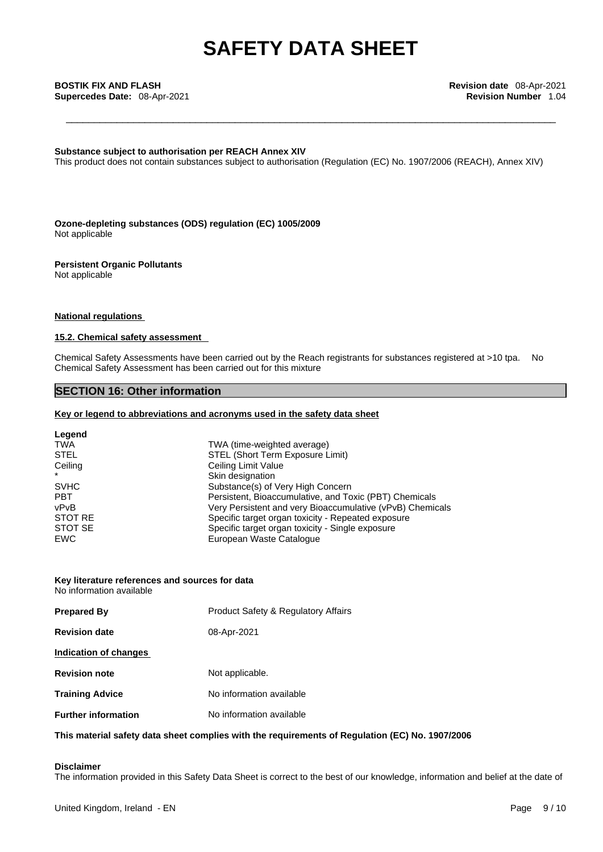**Substance subject to authorisation per REACH Annex XIV**

This product does not contain substances subject to authorisation (Regulation (EC) No. 1907/2006 (REACH), Annex XIV)

**Ozone-depleting substances (ODS) regulation (EC) 1005/2009** Not applicable

## **Persistent Organic Pollutants**

Not applicable

# **National regulations**

## **15.2. Chemical safety assessment**

Chemical Safety Assessments have been carried out by the Reach registrants for substances registered at >10 tpa. No Chemical Safety Assessment has been carried out for this mixture

# **SECTION 16: Other information**

#### **Key or legend to abbreviations and acronyms used in the safety data sheet**

| Legend      |                                                           |
|-------------|-----------------------------------------------------------|
| <b>TWA</b>  | TWA (time-weighted average)                               |
| <b>STEL</b> | STEL (Short Term Exposure Limit)                          |
| Ceiling     | Ceiling Limit Value                                       |
|             | Skin designation                                          |
| <b>SVHC</b> | Substance(s) of Very High Concern                         |
| <b>PBT</b>  | Persistent, Bioaccumulative, and Toxic (PBT) Chemicals    |
| vPvB        | Very Persistent and very Bioaccumulative (vPvB) Chemicals |
| STOT RE     | Specific target organ toxicity - Repeated exposure        |
| STOT SE     | Specific target organ toxicity - Single exposure          |
| EWC         | European Waste Catalogue                                  |

## **Key literature references and sources for data**

No information available

| <b>Prepared By</b>         | <b>Product Safety &amp; Regulatory Affairs</b> |
|----------------------------|------------------------------------------------|
| <b>Revision date</b>       | 08-Apr-2021                                    |
| Indication of changes      |                                                |
| <b>Revision note</b>       | Not applicable.                                |
| <b>Training Advice</b>     | No information available                       |
| <b>Further information</b> | No information available                       |
|                            |                                                |

## **This material safety data sheet complies with the requirements of Regulation (EC) No. 1907/2006**

# **Disclaimer**

The information provided in this Safety Data Sheet is correct to the best of our knowledge, information and belief at the date of